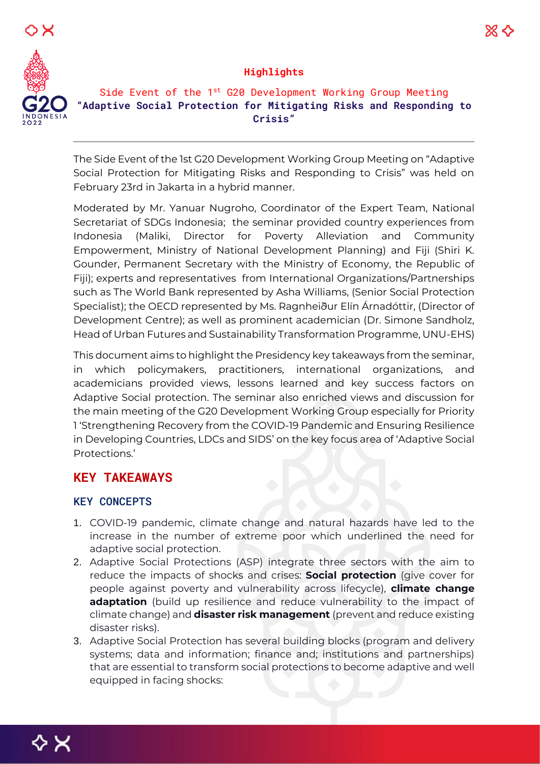



# **Highlights**

Side Event of the 1<sup>st</sup> G20 Development Working Group Meeting **"Adaptive Social Protection for Mitigating Risks and Responding to Crisis"**

The Side Event of the 1st G20 Development Working Group Meeting on "Adaptive Social Protection for Mitigating Risks and Responding to Crisis" was held on February 23rd in Jakarta in a hybrid manner.

Moderated by Mr. Yanuar Nugroho, Coordinator of the Expert Team, National Secretariat of SDGs Indonesia; the seminar provided country experiences from Indonesia (Maliki, Director for Poverty Alleviation and Community Empowerment, Ministry of National Development Planning) and Fiji (Shiri K. Gounder, Permanent Secretary with the Ministry of Economy, the Republic of Fiji); experts and representatives from International Organizations/Partnerships such as The World Bank represented by Asha Williams, (Senior Social Protection Specialist); the OECD represented by Ms. Ragnheiður Elín Árnadóttir, (Director of Development Centre); as well as prominent academician (Dr. Simone Sandholz, Head of Urban Futures and Sustainability Transformation Programme, UNU-EHS)

This document aims to highlight the Presidency key takeaways from the seminar, in which policymakers, practitioners, international organizations, and academicians provided views, lessons learned and key success factors on Adaptive Social protection. The seminar also enriched views and discussion for the main meeting of the G20 Development Working Group especially for Priority 1 'Strengthening Recovery from the COVID-19 Pandemic and Ensuring Resilience in Developing Countries, LDCs and SIDS' on the key focus area of 'Adaptive Social Protections.'

# **KEY TAKEAWAYS**

#### KEY CONCEPTS

- 1. COVID-19 pandemic, climate change and natural hazards have led to the increase in the number of extreme poor which underlined the need for adaptive social protection.
- 2. Adaptive Social Protections (ASP) integrate three sectors with the aim to reduce the impacts of shocks and crises: **Social protection** (give cover for people against poverty and vulnerability across lifecycle), **climate change adaptation** (build up resilience and reduce vulnerability to the impact of climate change) and **disaster risk management** (prevent and reduce existing disaster risks).
- 3. Adaptive Social Protection has several building blocks (program and delivery systems; data and information; finance and; institutions and partnerships) that are essential to transform social protections to become adaptive and well equipped in facing shocks:

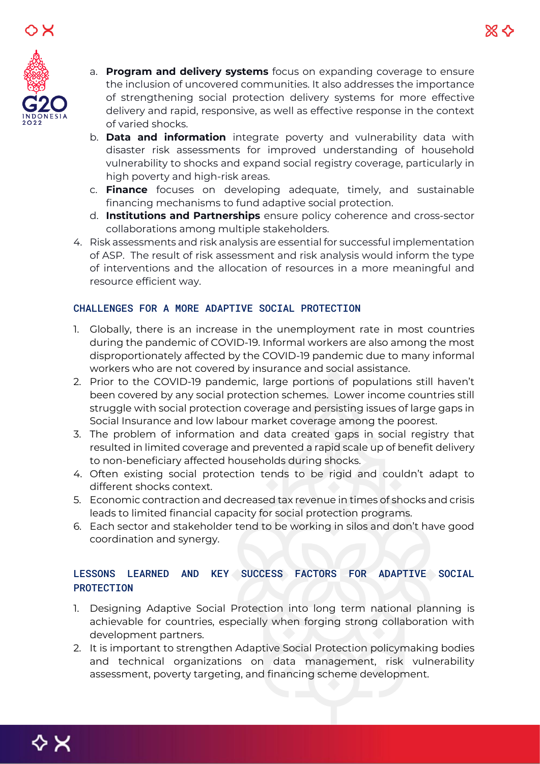



- a. **Program and delivery systems** focus on expanding coverage to ensure the inclusion of uncovered communities. It also addresses the importance of strengthening social protection delivery systems for more effective delivery and rapid, responsive, as well as effective response in the context of varied shocks.
- b. **Data and information** integrate poverty and vulnerability data with disaster risk assessments for improved understanding of household vulnerability to shocks and expand social registry coverage, particularly in high poverty and high-risk areas.
- c. **Finance** focuses on developing adequate, timely, and sustainable financing mechanisms to fund adaptive social protection.
- d. **Institutions and Partnerships** ensure policy coherence and cross-sector collaborations among multiple stakeholders.
- 4. Risk assessments and risk analysis are essential for successful implementation of ASP. The result of risk assessment and risk analysis would inform the type of interventions and the allocation of resources in a more meaningful and resource efficient way.

### CHALLENGES FOR A MORE ADAPTIVE SOCIAL PROTECTION

- 1. Globally, there is an increase in the unemployment rate in most countries during the pandemic of COVID-19. Informal workers are also among the most disproportionately affected by the COVID-19 pandemic due to many informal workers who are not covered by insurance and social assistance.
- 2. Prior to the COVID-19 pandemic, large portions of populations still haven't been covered by any social protection schemes. Lower income countries still struggle with social protection coverage and persisting issues of large gaps in Social Insurance and low labour market coverage among the poorest.
- 3. The problem of information and data created gaps in social registry that resulted in limited coverage and prevented a rapid scale up of benefit delivery to non-beneficiary affected households during shocks.
- 4. Often existing social protection tends to be rigid and couldn't adapt to different shocks context.
- 5. Economic contraction and decreased tax revenue in times of shocks and crisis leads to limited financial capacity for social protection programs.
- 6. Each sector and stakeholder tend to be working in silos and don't have good coordination and synergy.

## LESSONS LEARNED AND KEY SUCCESS FACTORS FOR ADAPTIVE SOCIAL **PROTECTION**

- 1. Designing Adaptive Social Protection into long term national planning is achievable for countries, especially when forging strong collaboration with development partners.
- 2. It is important to strengthen Adaptive Social Protection policymaking bodies and technical organizations on data management, risk vulnerability assessment, poverty targeting, and financing scheme development.